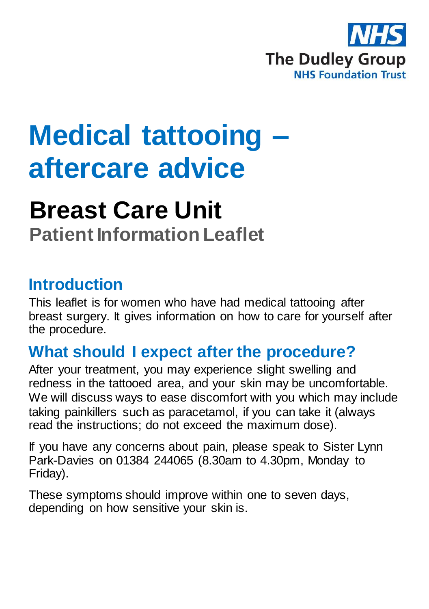

# **Medical tattooing – aftercare advice**

## **Breast Care Unit Patient Information Leaflet**

## **Introduction**

This leaflet is for women who have had medical tattooing after breast surgery. It gives information on how to care for yourself after the procedure.

## **What should I expect after the procedure?**

After your treatment, you may experience slight swelling and redness in the tattooed area, and your skin may be uncomfortable. We will discuss ways to ease discomfort with you which may include taking painkillers such as paracetamol, if you can take it (always read the instructions; do not exceed the maximum dose).

If you have any concerns about pain, please speak to Sister Lynn Park-Davies on 01384 244065 (8.30am to 4.30pm, Monday to Friday).

These symptoms should improve within one to seven days, depending on how sensitive your skin is.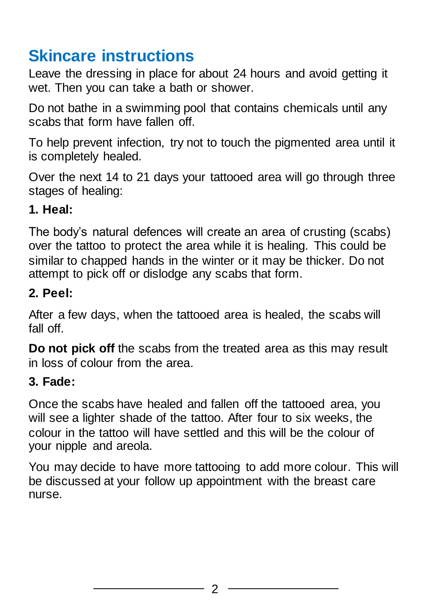## **Skincare instructions**

Leave the dressing in place for about 24 hours and avoid getting it wet. Then you can take a bath or shower.

Do not bathe in a swimming pool that contains chemicals until any scabs that form have fallen off.

To help prevent infection, try not to touch the pigmented area until it is completely healed.

Over the next 14 to 21 days your tattooed area will go through three stages of healing:

#### **1. Heal:**

The body's natural defences will create an area of crusting (scabs) over the tattoo to protect the area while it is healing. This could be similar to chapped hands in the winter or it may be thicker. Do not attempt to pick off or dislodge any scabs that form.

#### **2. Peel:**

After a few days, when the tattooed area is healed, the scabs will fall off.

**Do not pick off** the scabs from the treated area as this may result in loss of colour from the area.

#### **3. Fade:**

Once the scabs have healed and fallen off the tattooed area, you will see a lighter shade of the tattoo. After four to six weeks, the colour in the tattoo will have settled and this will be the colour of your nipple and areola.

You may decide to have more tattooing to add more colour. This will be discussed at your follow up appointment with the breast care nurse.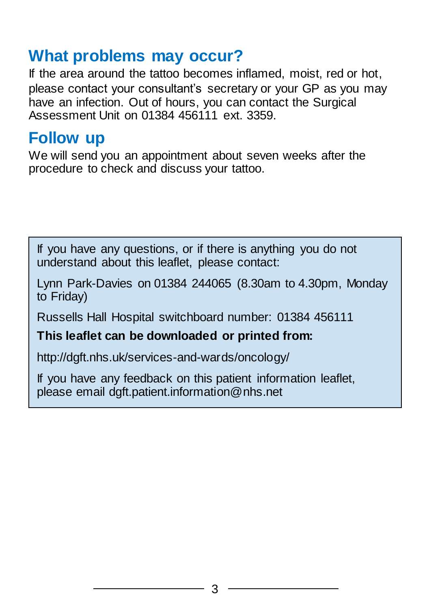## **What problems may occur?**

If the area around the tattoo becomes inflamed, moist, red or hot, please contact your consultant's secretary or your GP as you may have an infection. Out of hours, you can contact the Surgical Assessment Unit on 01384 456111 ext. 3359.

### **Follow up**

We will send you an appointment about seven weeks after the procedure to check and discuss your tattoo.

If you have any questions, or if there is anything you do not understand about this leaflet, please contact:

Lynn Park-Davies on 01384 244065 (8.30am to 4.30pm, Monday to Friday)

Russells Hall Hospital switchboard number: 01384 456111

#### **This leaflet can be downloaded or printed from:**

http://dgft.nhs.uk/services-and-wards/oncology/

If you have any feedback on this patient information leaflet, please email dgft.patient.information@nhs.net